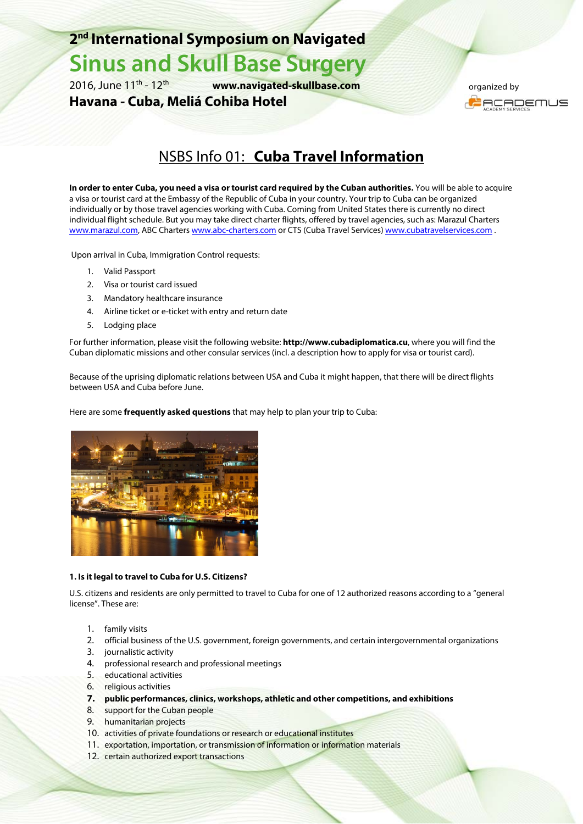### **2nd International Symposium on Navigated**

# **Sinus and Skull Base Surgery**<br>2016. June 11<sup>th</sup> - 12<sup>th</sup> www.navigated-skullbase.com

www.navigated-skullbase.com

**Havana - Cuba, Meliá Cohiba Hotel** 

 organized by **I** ACADEMUS

## NSBS Info 01: **Cuba Travel Information**

**In order to enter Cuba, you need a visa or tourist card required by the Cuban authorities.** You will be able to acquire a visa or tourist card at the Embassy of the Republic of Cuba in your country. Your trip to Cuba can be organized individually or by those travel agencies working with Cuba. Coming from United States there is currently no direct individual flight schedule. But you may take direct charter flights, offered by travel agencies, such as: Marazul Charters www.marazul.com, ABC Charters www.abc-charters.com or CTS (Cuba Travel Services) www.cubatravelservices.com .

Upon arrival in Cuba, Immigration Control requests:

- 1. Valid Passport
- 2. Visa or tourist card issued
- 3. Mandatory healthcare insurance
- 4. Airline ticket or e-ticket with entry and return date
- 5. Lodging place

For further information, please visit the following website: **http://www.cubadiplomatica.cu**, where you will find the Cuban diplomatic missions and other consular services (incl. a description how to apply for visa or tourist card).

Because of the uprising diplomatic relations between USA and Cuba it might happen, that there will be direct flights between USA and Cuba before June.

Here are some **frequently asked questions** that may help to plan your trip to Cuba:



#### **1. Is it legal to travel to Cuba for U.S. Citizens?**

U.S. citizens and residents are only permitted to travel to Cuba for one of 12 authorized reasons according to a "general license". These are:

- 1. family visits
- 2. official business of the U.S. government, foreign governments, and certain intergovernmental organizations
- 3. journalistic activity
- 4. professional research and professional meetings
- 5. educational activities
- 6. religious activities
- **7. public performances, clinics, workshops, athletic and other competitions, and exhibitions**
- 8. support for the Cuban people
- 9. humanitarian projects
- 10. activities of private foundations or research or educational institutes
- 11. exportation, importation, or transmission of information or information materials
- 12. certain authorized export transactions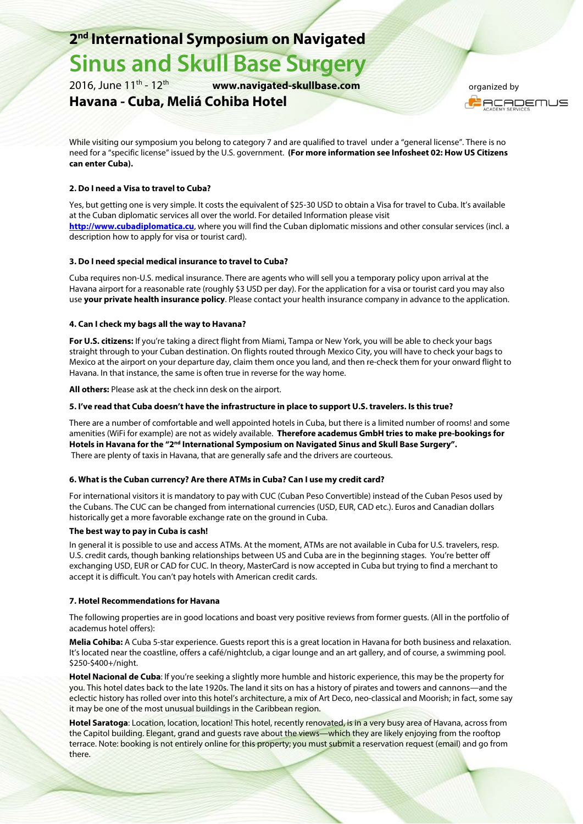### **2nd International Symposium on Navigated**

## **Sinus and Skull Base Surgery**

2016, June 11th - 12th **www.navigated-skullbase.com**

#### **Havana - Cuba, Meliá Cohiba Hotel**

 organized by **I** ACADEMUS

While visiting our symposium you belong to category 7 and are qualified to travel under a "general license". There is no need for a "specific license" issued by the U.S. government. **(For more information see Infosheet 02: How US Citizens can enter Cuba).** 

#### **2. Do I need a Visa to travel to Cuba?**

Yes, but getting one is very simple. It costs the equivalent of \$25-30 USD to obtain a Visa for travel to Cuba. It's available at the Cuban diplomatic services all over the world. For detailed Information please visit **http://www.cubadiplomatica.cu**, where you will find the Cuban diplomatic missions and other consular services (incl. a description how to apply for visa or tourist card).

#### **3. Do I need special medical insurance to travel to Cuba?**

Cuba requires non-U.S. medical insurance. There are agents who will sell you a temporary policy upon arrival at the Havana airport for a reasonable rate (roughly \$3 USD per day). For the application for a visa or tourist card you may also use **your private health insurance policy**. Please contact your health insurance company in advance to the application.

#### **4. Can I check my bags all the way to Havana?**

**For U.S. citizens:** If you're taking a direct flight from Miami, Tampa or New York, you will be able to check your bags straight through to your Cuban destination. On flights routed through Mexico City, you will have to check your bags to Mexico at the airport on your departure day, claim them once you land, and then re-check them for your onward flight to Havana. In that instance, the same is often true in reverse for the way home.

**All others:** Please ask at the check inn desk on the airport.

#### **5. I've read that Cuba doesn't have the infrastructure in place to support U.S. travelers. Is this true?**

There are a number of comfortable and well appointed hotels in Cuba, but there is a limited number of rooms! and some amenities (WiFi for example) are not as widely available. **Therefore academus GmbH tries to make pre-bookings for**  Hotels in Havana for the "2<sup>nd</sup> International Symposium on Navigated Sinus and Skull Base Surgery". There are plenty of taxis in Havana, that are generally safe and the drivers are courteous.

#### **6. What is the Cuban currency? Are there ATMs in Cuba? Can I use my credit card?**

For international visitors it is mandatory to pay with CUC (Cuban Peso Convertible) instead of the Cuban Pesos used by the Cubans. The CUC can be changed from international currencies (USD, EUR, CAD etc.). Euros and Canadian dollars historically get a more favorable exchange rate on the ground in Cuba.

#### **The best way to pay in Cuba is cash!**

In general it is possible to use and access ATMs. At the moment, ATMs are not available in Cuba for U.S. travelers, resp. U.S. credit cards, though banking relationships between US and Cuba are in the beginning stages. You're better off exchanging USD, EUR or CAD for CUC. In theory, MasterCard is now accepted in Cuba but trying to find a merchant to accept it is difficult. You can't pay hotels with American credit cards.

#### **7. Hotel Recommendations for Havana**

The following properties are in good locations and boast very positive reviews from former guests. (All in the portfolio of academus hotel offers):

**Melia Cohiba:** A Cuba 5-star experience. Guests report this is a great location in Havana for both business and relaxation. It's located near the coastline, offers a café/nightclub, a cigar lounge and an art gallery, and of course, a swimming pool. \$250-\$400+/night.

**Hotel Nacional de Cuba**: If you're seeking a slightly more humble and historic experience, this may be the property for you. This hotel dates back to the late 1920s. The land it sits on has a history of pirates and towers and cannons—and the eclectic history has rolled over into this hotel's architecture, a mix of Art Deco, neo-classical and Moorish; in fact, some say it may be one of the most unusual buildings in the Caribbean region.

**Hotel Saratoga**: Location, location, location! This hotel, recently renovated, is in a very busy area of Havana, across from the Capitol building. Elegant, grand and guests rave about the views—which they are likely enjoying from the rooftop terrace. Note: booking is not entirely online for this property; you must submit a reservation request (email) and go from there.